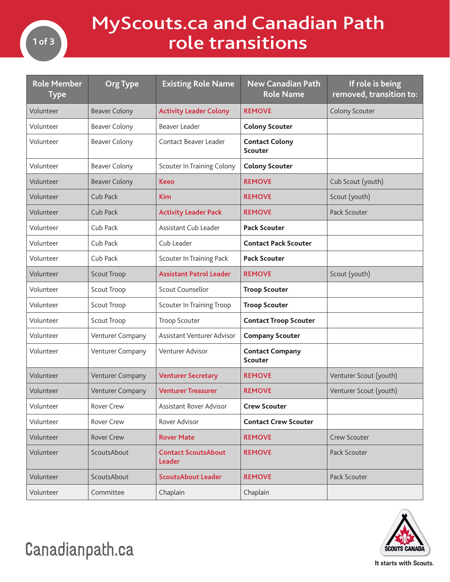

## MyScouts.ca and Canadian Path role transitions

| <b>Role Member</b><br><b>Type</b> | <b>Org Type</b>      | <b>Existing Role Name</b>            | <b>New Canadian Path</b><br><b>Role Name</b> | If role is being<br>removed, transition to: |
|-----------------------------------|----------------------|--------------------------------------|----------------------------------------------|---------------------------------------------|
| Volunteer                         | <b>Beaver Colony</b> | <b>Activity Leader Colony</b>        | <b>REMOVE</b>                                | Colony Scouter                              |
| Volunteer                         | <b>Beaver Colony</b> | Beaver Leader                        | <b>Colony Scouter</b>                        |                                             |
| Volunteer                         | <b>Beaver Colony</b> | Contact Beaver Leader                | <b>Contact Colony</b><br><b>Scouter</b>      |                                             |
| Volunteer                         | <b>Beaver Colony</b> | Scouter In Training Colony           | <b>Colony Scouter</b>                        |                                             |
| Volunteer                         | <b>Beaver Colony</b> | <b>Keeo</b>                          | <b>REMOVE</b>                                | Cub Scout (youth)                           |
| Volunteer                         | Cub Pack             | <b>Kim</b>                           | <b>REMOVE</b>                                | Scout (youth)                               |
| Volunteer                         | Cub Pack             | <b>Activity Leader Pack</b>          | <b>REMOVE</b>                                | Pack Scouter                                |
| Volunteer                         | Cub Pack             | Assistant Cub Leader                 | <b>Pack Scouter</b>                          |                                             |
| Volunteer                         | Cub Pack             | Cub Leader                           | <b>Contact Pack Scouter</b>                  |                                             |
| Volunteer                         | Cub Pack             | <b>Scouter In Training Pack</b>      | <b>Pack Scouter</b>                          |                                             |
| Volunteer                         | <b>Scout Troop</b>   | <b>Assistant Patrol Leader</b>       | <b>REMOVE</b>                                | Scout (youth)                               |
| Volunteer                         | Scout Troop          | Scout Counsellor                     | <b>Troop Scouter</b>                         |                                             |
| Volunteer                         | Scout Troop          | Scouter In Training Troop            | <b>Troop Scouter</b>                         |                                             |
| Volunteer                         | Scout Troop          | <b>Troop Scouter</b>                 | <b>Contact Troop Scouter</b>                 |                                             |
| Volunteer                         | Venturer Company     | Assistant Venturer Advisor           | <b>Company Scouter</b>                       |                                             |
| Volunteer                         | Venturer Company     | Venturer Advisor                     | <b>Contact Company</b><br><b>Scouter</b>     |                                             |
| Volunteer                         | Venturer Company     | <b>Venturer Secretary</b>            | <b>REMOVE</b>                                | Venturer Scout (youth)                      |
| Volunteer                         | Venturer Company     | <b>Venturer Treasurer</b>            | <b>REMOVE</b>                                | Venturer Scout (youth)                      |
| Volunteer                         | Rover Crew           | Assistant Rover Advisor              | <b>Crew Scouter</b>                          |                                             |
| Volunteer                         | Rover Crew           | Rover Advisor                        | <b>Contact Crew Scouter</b>                  |                                             |
| Volunteer                         | <b>Rover Crew</b>    | <b>Rover Mate</b>                    | <b>REMOVE</b>                                | Crew Scouter                                |
| Volunteer                         | ScoutsAbout          | <b>Contact ScoutsAbout</b><br>Leader | <b>REMOVE</b>                                | Pack Scouter                                |
| Volunteer                         | ScoutsAbout          | <b>ScoutsAbout Leader</b>            | <b>REMOVE</b>                                | Pack Scouter                                |
| Volunteer                         | Committee            | Chaplain                             | Chaplain                                     |                                             |



Canadianpath.ca

**It starts with Scouts.**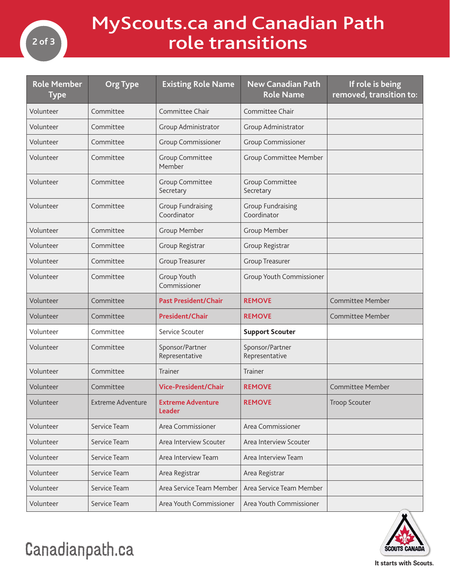

## MyScouts.ca and Canadian Path role transitions

| <b>Role Member</b><br><b>Type</b> | <b>Org Type</b>   | <b>Existing Role Name</b>                 | <b>New Canadian Path</b><br><b>Role Name</b> | If role is being<br>removed, transition to: |
|-----------------------------------|-------------------|-------------------------------------------|----------------------------------------------|---------------------------------------------|
| Volunteer                         | Committee         | Committee Chair                           | Committee Chair                              |                                             |
| Volunteer                         | Committee         | Group Administrator                       | Group Administrator                          |                                             |
| Volunteer                         | Committee         | Group Commissioner                        | Group Commissioner                           |                                             |
| Volunteer                         | Committee         | <b>Group Committee</b><br>Member          | Group Committee Member                       |                                             |
| Volunteer                         | Committee         | Group Committee<br>Secretary              | Group Committee<br>Secretary                 |                                             |
| Volunteer                         | Committee         | <b>Group Fundraising</b><br>Coordinator   | <b>Group Fundraising</b><br>Coordinator      |                                             |
| Volunteer                         | Committee         | Group Member                              | Group Member                                 |                                             |
| Volunteer                         | Committee         | Group Registrar                           | Group Registrar                              |                                             |
| Volunteer                         | Committee         | <b>Group Treasurer</b>                    | <b>Group Treasurer</b>                       |                                             |
| Volunteer                         | Committee         | Group Youth<br>Commissioner               | Group Youth Commissioner                     |                                             |
| Volunteer                         | Committee         | <b>Past President/Chair</b>               | <b>REMOVE</b>                                | <b>Committee Member</b>                     |
| Volunteer                         | Committee         | <b>President/Chair</b>                    | <b>REMOVE</b>                                | <b>Committee Member</b>                     |
| Volunteer                         | Committee         | Service Scouter                           | <b>Support Scouter</b>                       |                                             |
| Volunteer                         | Committee         | Sponsor/Partner<br>Representative         | Sponsor/Partner<br>Representative            |                                             |
| Volunteer                         | Committee         | <b>Trainer</b>                            | <b>Trainer</b>                               |                                             |
| Volunteer                         | Committee         | <b>Vice-President/Chair</b>               | <b>REMOVE</b>                                | <b>Committee Member</b>                     |
| Volunteer                         | Extreme Adventure | <b>Extreme Adventure</b><br><b>Leader</b> | <b>REMOVE</b>                                | <b>Troop Scouter</b>                        |
| Volunteer                         | Service Team      | Area Commissioner                         | Area Commissioner                            |                                             |
| Volunteer                         | Service Team      | Area Interview Scouter                    | Area Interview Scouter                       |                                             |
| Volunteer                         | Service Team      | Area Interview Team                       | Area Interview Team                          |                                             |
| Volunteer                         | Service Team      | Area Registrar                            | Area Registrar                               |                                             |
| Volunteer                         | Service Team      | Area Service Team Member                  | Area Service Team Member                     |                                             |
| Volunteer                         | Service Team      | Area Youth Commissioner                   | Area Youth Commissioner                      |                                             |



## Canadianpath.ca

**It starts with Scouts.**